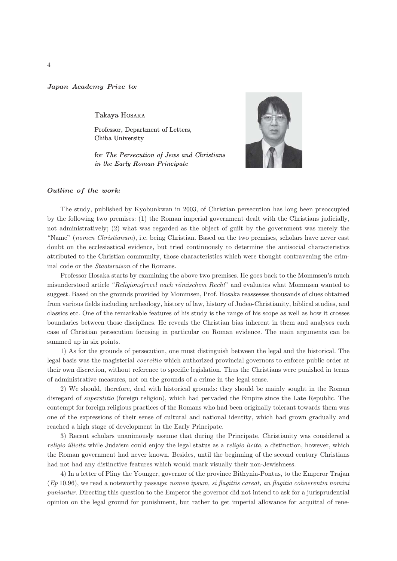## Japan Academy Prize to*:*

Takaya HOSAKA

Professor, Department of Letters, Chiba University

for The Persecution of Jews and Christians in the Early Roman Principate



## Outline of the work*:*

The study, published by Kyobunkwan in 2003, of Christian persecution has long been preoccupied by the following two premises: (1) the Roman imperial government dealt with the Christians judicially, not administratively; (2) what was regarded as the object of guilt by the government was merely the "Name" (nomen Christianum), i.e. being Christian. Based on the two premises, scholars have never cast doubt on the ecclesiastical evidence, but tried continuously to determine the antisocial characteristics attributed to the Christian community, those characteristics which were thought contravening the criminal code or the Staatsraison of the Romans.

Professor Hosaka starts by examining the above two premises. He goes back to the Mommsen's much misunderstood article "Religionsfrevel nach römischem Recht" and evaluates what Mommsen wanted to suggest. Based on the grounds provided by Mommsen, Prof. Hosaka reassesses thousands of clues obtained from various fields including archeology, history of law, history of Judeo-Christianity, biblical studies, and classics etc. One of the remarkable features of his study is the range of his scope as well as how it crosses boundaries between those disciplines. He reveals the Christian bias inherent in them and analyses each case of Christian persecution focusing in particular on Roman evidence. The main arguments can be summed up in six points.

1) As for the grounds of persecution, one must distinguish between the legal and the historical. The legal basis was the magisterial coercitio which authorized provincial governors to enforce public order at their own discretion, without reference to specific legislation. Thus the Christians were punished in terms of administrative measures, not on the grounds of a crime in the legal sense.

2) We should, therefore, deal with historical grounds: they should be mainly sought in the Roman disregard of superstitio (foreign religion), which had pervaded the Empire since the Late Republic. The contempt for foreign religious practices of the Romans who had been originally tolerant towards them was one of the expressions of their sense of cultural and national identity, which had grown gradually and reached a high stage of development in the Early Principate.

3) Recent scholars unanimously assume that during the Principate, Christianity was considered a religio illicita while Judaism could enjoy the legal status as a religio licita, a distinction, however, which the Roman government had never known. Besides, until the beginning of the second century Christians had not had any distinctive features which would mark visually their non-Jewishness.

4) In a letter of Pliny the Younger, governor of the province Bithynia-Pontus, to the Emperor Trajan  $(Ep 10.96)$ , we read a noteworthy passage: nomen ipsum, si flagitiis careat, an flagitia cohaerentia nomini puniantur. Directing this question to the Emperor the governor did not intend to ask for a jurisprudential opinion on the legal ground for punishment, but rather to get imperial allowance for acquittal of rene